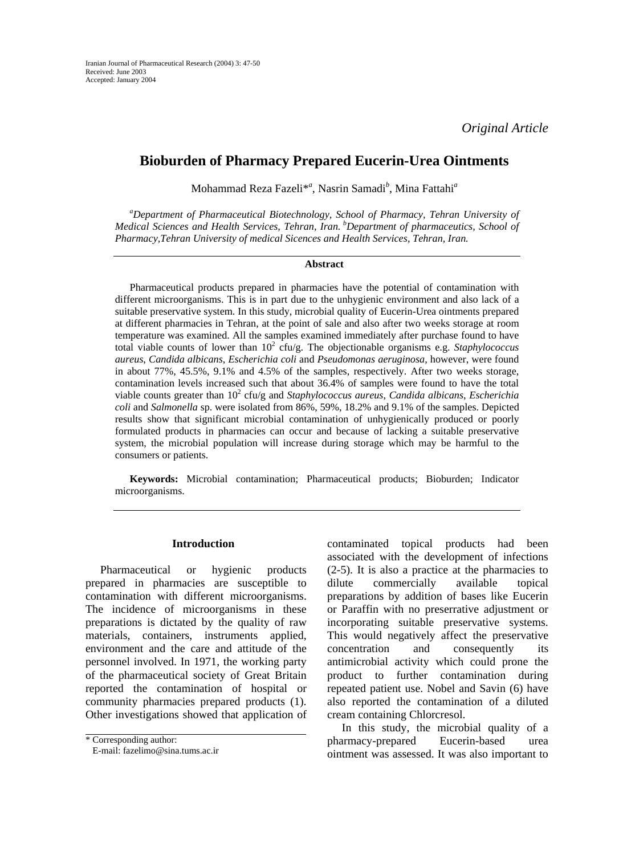# **Bioburden of Pharmacy Prepared Eucerin-Urea Ointments**

Mohammad Reza Fazeli\**<sup>a</sup>* , Nasrin Samadi*<sup>b</sup>* , Mina Fattahi*<sup>a</sup>*

*a Department of Pharmaceutical Biotechnology, School of Pharmacy, Tehran University of* Medical Sciences and Health Services, Tehran, Iran. <sup>b</sup>Department of pharmaceutics, School of *Pharmacy,Tehran University of medical Sicences and Health Services, Tehran, Iran.* 

#### **Abstract**

Pharmaceutical products prepared in pharmacies have the potential of contamination with different microorganisms. This is in part due to the unhygienic environment and also lack of a suitable preservative system. In this study, microbial quality of Eucerin-Urea ointments prepared at different pharmacies in Tehran, at the point of sale and also after two weeks storage at room temperature was examined. All the samples examined immediately after purchase found to have total viable counts of lower than  $10^2$  cfu/g. The objectionable organisms e.g. *Staphylococcus aureus*, *Candida albicans*, *Escherichia coli* and *Pseudomonas aeruginosa,* however, were found in about 77%, 45.5%, 9.1% and 4.5% of the samples, respectively. After two weeks storage, contamination levels increased such that about 36.4% of samples were found to have the total viable counts greater than 10<sup>2</sup> cfu/g and *Staphylococcus aureus*, *Candida albicans*, *Escherichia coli* and *Salmonella* sp. were isolated from 86%, 59%, 18.2% and 9.1% of the samples. Depicted results show that significant microbial contamination of unhygienically produced or poorly formulated products in pharmacies can occur and because of lacking a suitable preservative system, the microbial population will increase during storage which may be harmful to the consumers or patients.

**Keywords:** Microbial contamination; Pharmaceutical products; Bioburden; Indicator microorganisms.

#### **Introduction**

Pharmaceutical or hygienic products prepared in pharmacies are susceptible to contamination with different microorganisms. The incidence of microorganisms in these preparations is dictated by the quality of raw materials, containers, instruments applied, environment and the care and attitude of the personnel involved. In 1971, the working party of the pharmaceutical society of Great Britain reported the contamination of hospital or community pharmacies prepared products (1). Other investigations showed that application of contaminated topical products had been associated with the development of infections (2-5). It is also a practice at the pharmacies to dilute commercially available topical preparations by addition of bases like Eucerin or Paraffin with no preserrative adjustment or incorporating suitable preservative systems. This would negatively affect the preservative concentration and consequently its antimicrobial activity which could prone the product to further contamination during repeated patient use. Nobel and Savin (6) have also reported the contamination of a diluted cream containing Chlorcresol.

In this study, the microbial quality of a pharmacy-prepared Eucerin-based urea ointment was assessed. It was also important to

<sup>\*</sup> Corresponding author:

E-mail: fazelimo@sina.tums.ac.ir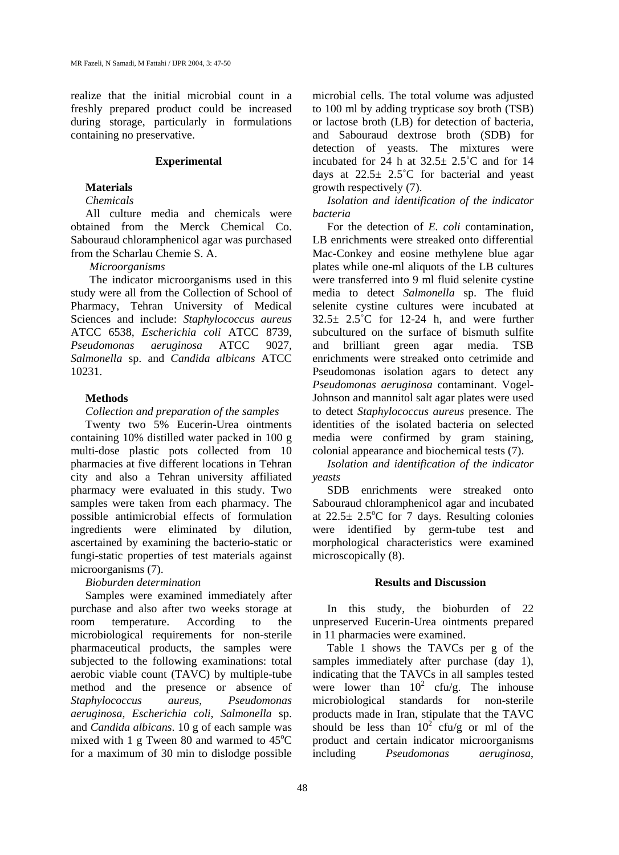realize that the initial microbial count in a freshly prepared product could be increased during storage, particularly in formulations containing no preservative.

#### **Experimental**

## **Materials**

## *Chemicals*

All culture media and chemicals were obtained from the Merck Chemical Co. Sabouraud chloramphenicol agar was purchased from the Scharlau Chemie S. A.

#### *Microorganisms*

The indicator microorganisms used in this study were all from the Collection of School of Pharmacy, Tehran University of Medical Sciences and include: *Staphylococcus aureus* ATCC 6538, *Escherichia coli* ATCC 8739, *Pseudomonas aeruginosa* ATCC 9027, *Salmonella* sp. and *Candida albicans* ATCC 10231.

#### **Methods**

*Collection and preparation of the samples*

Twenty two 5% Eucerin-Urea ointments containing 10% distilled water packed in 100 g multi-dose plastic pots collected from 10 pharmacies at five different locations in Tehran city and also a Tehran university affiliated pharmacy were evaluated in this study. Two samples were taken from each pharmacy. The possible antimicrobial effects of formulation ingredients were eliminated by dilution, ascertained by examining the bacterio-static or fungi-static properties of test materials against microorganisms (7).

#### *Bioburden determination*

Samples were examined immediately after purchase and also after two weeks storage at room temperature. According to the microbiological requirements for non-sterile pharmaceutical products, the samples were subjected to the following examinations: total aerobic viable count (TAVC) by multiple-tube method and the presence or absence of *Staphylococcus aureus*, *Pseudomonas aeruginosa*, *Escherichia coli*, *Salmonella* sp. and *Candida albicans*. 10 g of each sample was mixed with 1 g Tween 80 and warmed to  $45^{\circ}$ C for a maximum of 30 min to dislodge possible

microbial cells. The total volume was adjusted to 100 ml by adding trypticase soy broth (TSB) or lactose broth (LB) for detection of bacteria, and Sabouraud dextrose broth (SDB) for detection of yeasts. The mixtures were incubated for 24 h at  $32.5 \pm 2.5^{\circ}$ C and for 14 days at  $22.5 \pm 2.5^{\circ}$ C for bacterial and yeast growth respectively (7).

*Isolation and identification of the indicator bacteria* 

For the detection of *E. coli* contamination, LB enrichments were streaked onto differential Mac-Conkey and eosine methylene blue agar plates while one-ml aliquots of the LB cultures were transferred into 9 ml fluid selenite cystine media to detect *Salmonella* sp. The fluid selenite cystine cultures were incubated at  $32.5 \pm 2.5^{\circ}$ C for 12-24 h, and were further subcultured on the surface of bismuth sulfite and brilliant green agar media. TSB enrichments were streaked onto cetrimide and Pseudomonas isolation agars to detect any *Pseudomonas aeruginosa* contaminant. Vogel-Johnson and mannitol salt agar plates were used to detect *Staphylococcus aureus* presence. The identities of the isolated bacteria on selected media were confirmed by gram staining, colonial appearance and biochemical tests (7).

*Isolation and identification of the indicator yeasts* 

SDB enrichments were streaked onto Sabouraud chloramphenicol agar and incubated at  $22.5 \pm 2.5^{\circ}$ C for 7 days. Resulting colonies were identified by germ-tube test and morphological characteristics were examined microscopically (8).

## **Results and Discussion**

In this study, the bioburden of 22 unpreserved Eucerin-Urea ointments prepared in 11 pharmacies were examined.

Table 1 shows the TAVCs per g of the samples immediately after purchase (day 1), indicating that the TAVCs in all samples tested were lower than  $10^2$  cfu/g. The inhouse microbiological standards for non-sterile products made in Iran, stipulate that the TAVC should be less than  $10^{2}$  cfu/g or ml of the product and certain indicator microorganisms including *Pseudomonas aeruginosa*,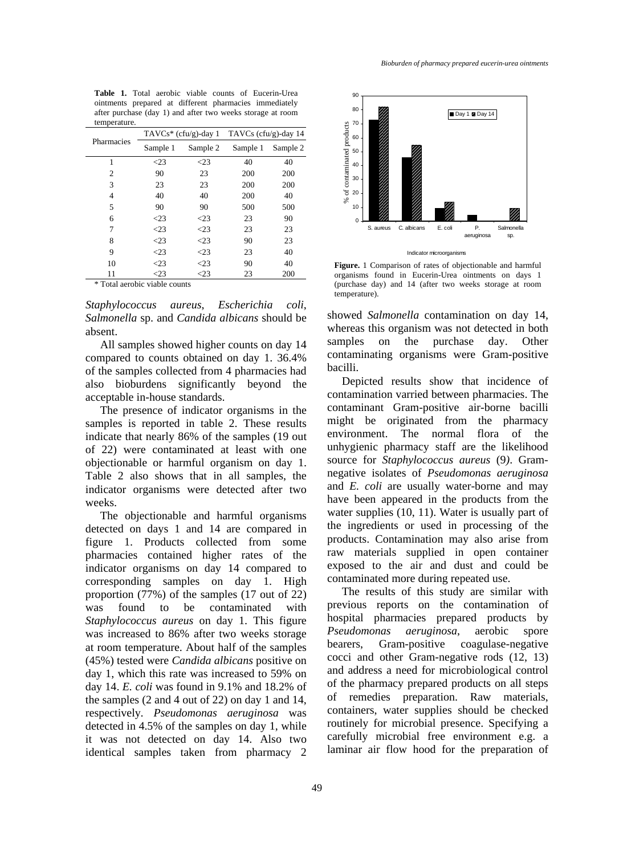**Table 1.** Total aerobic viable counts of Eucerin-Urea ointments prepared at different pharmacies immediately after purchase (day 1) and after two weeks storage at room temperature.

| Pharmacies | $TAVCs^*$ (cfu/g)-day 1 |           | TAVCs (cfu/g)-day $14$ |          |  |
|------------|-------------------------|-----------|------------------------|----------|--|
|            | Sample 1                | Sample 2  | Sample 1               | Sample 2 |  |
| 1          | $<$ 23                  | $\leq$ 23 | 40                     | 40       |  |
| 2          | 90                      | 23        | 200                    | 200      |  |
| 3          | 23                      | 23        | 200                    | 200      |  |
| 4          | 40                      | 40        | 200                    | 40       |  |
| 5          | 90                      | 90        | 500                    | 500      |  |
| 6          | $\leq$ 23               | $\leq$ 23 | 23                     | 90       |  |
| 7          | $<$ 23                  | $\leq$ 23 | 23                     | 23       |  |
| 8          | $<$ 23                  | $\leq$ 23 | 90                     | 23       |  |
| 9          | $<$ 23                  | $\leq$ 23 | 23                     | 40       |  |
| 10         | $<$ 23                  | $\leq$ 23 | 90                     | 40       |  |
| 11         | $<$ 23                  | $\leq$ 23 | 23                     | 200      |  |
| ********** |                         |           |                        |          |  |

\* Total aerobic viable counts

*Staphylococcus aureus*, *Escherichia coli*, *Salmonella* sp. and *Candida albicans* should be absent.

All samples showed higher counts on day 14 compared to counts obtained on day 1. 36.4% of the samples collected from 4 pharmacies had also bioburdens significantly beyond the acceptable in-house standards.

The presence of indicator organisms in the samples is reported in table 2. These results indicate that nearly 86% of the samples (19 out of 22) were contaminated at least with one objectionable or harmful organism on day 1. Table 2 also shows that in all samples, the indicator organisms were detected after two weeks.

The objectionable and harmful organisms detected on days 1 and 14 are compared in figure 1. Products collected from some pharmacies contained higher rates of the indicator organisms on day 14 compared to corresponding samples on day 1. High proportion (77%) of the samples (17 out of 22) was found to be contaminated with *Staphylococcus aureus* on day 1. This figure was increased to 86% after two weeks storage at room temperature. About half of the samples (45%) tested were *Candida albicans* positive on day 1, which this rate was increased to 59% on day 14. *E. coli* was found in 9.1% and 18.2% of the samples (2 and 4 out of 22) on day 1 and 14, respectively*. Pseudomonas aeruginosa* was detected in 4.5% of the samples on day 1, while it was not detected on day 14. Also two identical samples taken from pharmacy 2



**Figure.** 1 Comparison of rates of objectionable and harmful organisms found in Eucerin-Urea ointments on days 1 (purchase day) and 14 (after two weeks storage at room temperature).

showed *Salmonella* contamination on day 14, whereas this organism was not detected in both samples on the purchase day. Other contaminating organisms were Gram-positive bacilli.

Depicted results show that incidence of contamination varried between pharmacies. The contaminant Gram-positive air-borne bacilli might be originated from the pharmacy environment. The normal flora of the unhygienic pharmacy staff are the likelihood source for *Staphylococcus aureus* (9*)*. Gramnegative isolates of *Pseudomonas aeruginosa* and *E. coli* are usually water-borne and may have been appeared in the products from the water supplies (10, 11). Water is usually part of the ingredients or used in processing of the products. Contamination may also arise from raw materials supplied in open container exposed to the air and dust and could be contaminated more during repeated use.

The results of this study are similar with previous reports on the contamination of hospital pharmacies prepared products by *Pseudomonas aeruginosa*, aerobic spore bearers, Gram-positive coagulase-negative cocci and other Gram-negative rods (12, 13) and address a need for microbiological control of the pharmacy prepared products on all steps of remedies preparation. Raw materials, containers, water supplies should be checked routinely for microbial presence. Specifying a carefully microbial free environment e.g. a laminar air flow hood for the preparation of